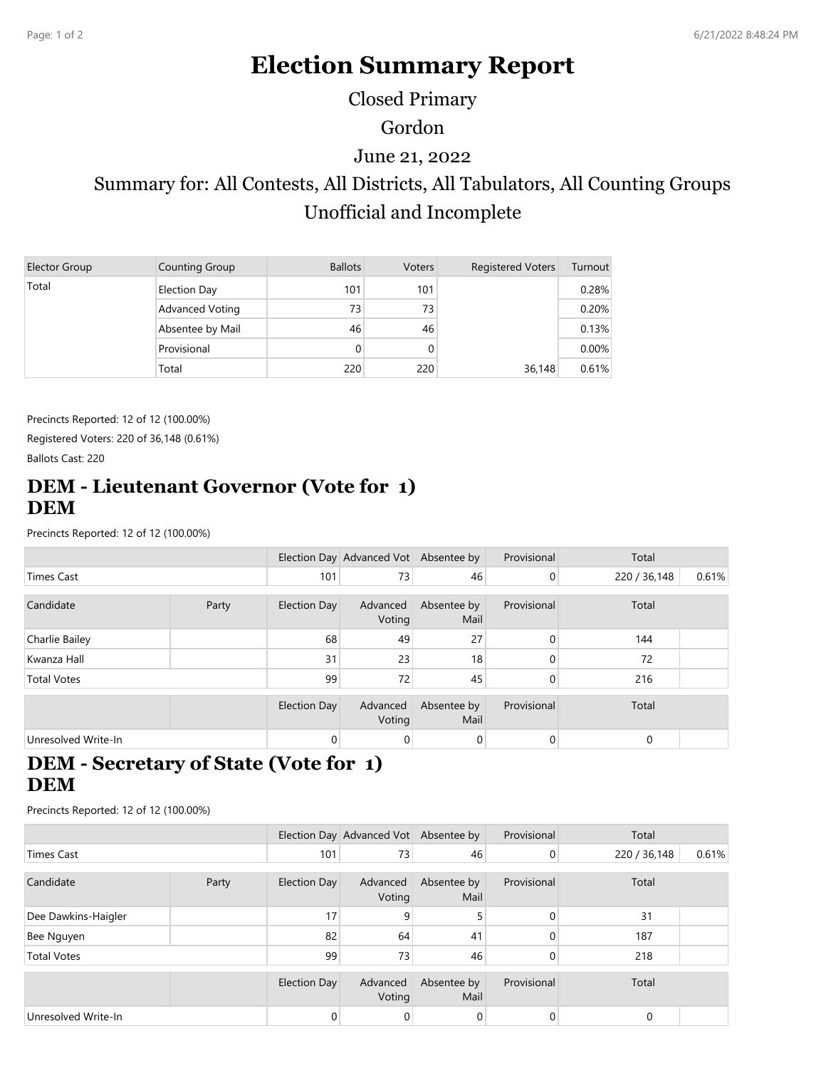# **Election Summary Report**

Closed Primary

Gordon

June 21, 2022

Summary for: All Contests, All Districts, All Tabulators, All Counting Groups Unofficial and Incomplete

| Elector Group | Counting Group   | <b>Ballots</b> | <b>Voters</b> | <b>Registered Voters</b> | Turnout  |
|---------------|------------------|----------------|---------------|--------------------------|----------|
| Total         | Election Day     | 101            | 101           |                          | 0.28%    |
|               | Advanced Voting  | 73             | 73            |                          | 0.20%    |
|               | Absentee by Mail | 46             | 46            |                          | 0.13%    |
|               | Provisional      | 0              |               |                          | $0.00\%$ |
|               | Total            | 220            | 220           | 36,148                   | 0.61%    |

Precincts Reported: 12 of 12 (100.00%) Registered Voters: 220 of 36,148 (0.61%) Ballots Cast: 220

#### **DEM - Lieutenant Governor (Vote for 1) DEM**

Precincts Reported: 12 of 12 (100.00%)

|                     |  |                | Election Day Advanced Vot Absentee by |                     | Provisional | Total        |       |
|---------------------|--|----------------|---------------------------------------|---------------------|-------------|--------------|-------|
| <b>Times Cast</b>   |  | 101            | 73                                    | 46                  | 0           | 220 / 36,148 | 0.61% |
| Candidate<br>Party  |  | Election Day   | Advanced<br>Voting                    | Absentee by<br>Mail | Provisional | Total        |       |
| Charlie Bailey      |  | 68             | 49                                    | 27                  | $\Omega$    | 144          |       |
| Kwanza Hall         |  | 31             | 23                                    | 18                  | $\Omega$    | 72           |       |
| <b>Total Votes</b>  |  | 99             | 72                                    | 45                  | $\Omega$    | 216          |       |
|                     |  | Election Day   | Advanced<br>Voting                    | Absentee by<br>Mail | Provisional | Total        |       |
| Unresolved Write-In |  | $\overline{0}$ | 0                                     | $\overline{0}$      | $\Omega$    | $\Omega$     |       |

### **DEM - Secretary of State (Vote for 1) DEM**

Precincts Reported: 12 of 12 (100.00%)

|                     |  |              | Election Day Advanced Vot Absentee by |                     | Provisional    | Total        |       |
|---------------------|--|--------------|---------------------------------------|---------------------|----------------|--------------|-------|
| <b>Times Cast</b>   |  | 101          | 73                                    | 46                  | $\overline{0}$ | 220 / 36,148 | 0.61% |
| Candidate<br>Party  |  | Election Day | Advanced<br>Voting                    | Absentee by<br>Mail | Provisional    | Total        |       |
| Dee Dawkins-Haigler |  | 17           | 9                                     | 5                   | $\mathbf{0}$   | 31           |       |
| Bee Nguyen          |  | 82           | 64                                    | 41                  | 0              | 187          |       |
| <b>Total Votes</b>  |  | 99           | 73                                    | 46                  | 0              | 218          |       |
|                     |  | Election Day | Advanced<br>Voting                    | Absentee by<br>Mail | Provisional    | Total        |       |
| Unresolved Write-In |  | $\mathbf 0$  | 0                                     | 0                   | 0              | 0            |       |